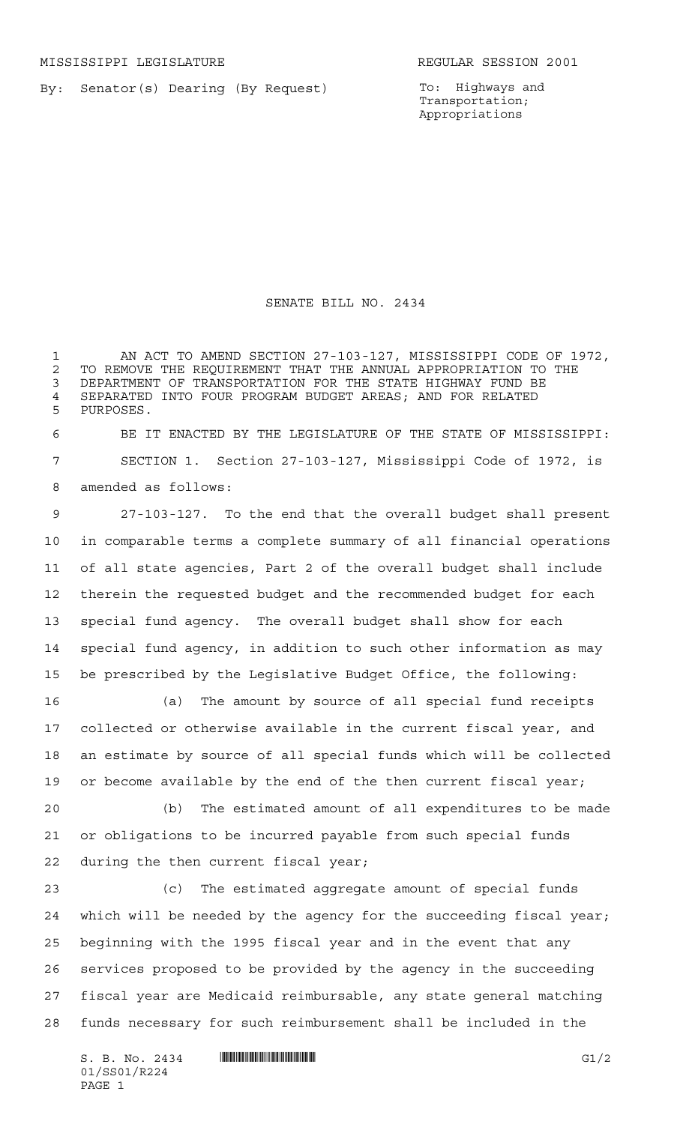By: Senator(s) Dearing (By Request)

To: Highways and Transportation; Appropriations

## SENATE BILL NO. 2434

 AN ACT TO AMEND SECTION 27-103-127, MISSISSIPPI CODE OF 1972, 2 TO REMOVE THE REQUIREMENT THAT THE ANNUAL APPROPRIATION TO THE<br>3 DEPARTMENT OF TRANSPORTATION FOR THE STATE HIGHWAY FUND BE DEPARTMENT OF TRANSPORTATION FOR THE STATE HIGHWAY FUND BE 4 SEPARATED INTO FOUR PROGRAM BUDGET AREAS; AND FOR RELATED<br>5 PHRPOSES PURPOSES.

 BE IT ENACTED BY THE LEGISLATURE OF THE STATE OF MISSISSIPPI: SECTION 1. Section 27-103-127, Mississippi Code of 1972, is amended as follows:

 27-103-127. To the end that the overall budget shall present in comparable terms a complete summary of all financial operations of all state agencies, Part 2 of the overall budget shall include therein the requested budget and the recommended budget for each special fund agency. The overall budget shall show for each special fund agency, in addition to such other information as may be prescribed by the Legislative Budget Office, the following:

 (a) The amount by source of all special fund receipts collected or otherwise available in the current fiscal year, and an estimate by source of all special funds which will be collected 19 or become available by the end of the then current fiscal year;

 (b) The estimated amount of all expenditures to be made or obligations to be incurred payable from such special funds during the then current fiscal year;

 (c) The estimated aggregate amount of special funds which will be needed by the agency for the succeeding fiscal year; beginning with the 1995 fiscal year and in the event that any services proposed to be provided by the agency in the succeeding fiscal year are Medicaid reimbursable, any state general matching funds necessary for such reimbursement shall be included in the

S. B. No. 2434 \*SS01/R224\* G1/2 01/SS01/R224 PAGE 1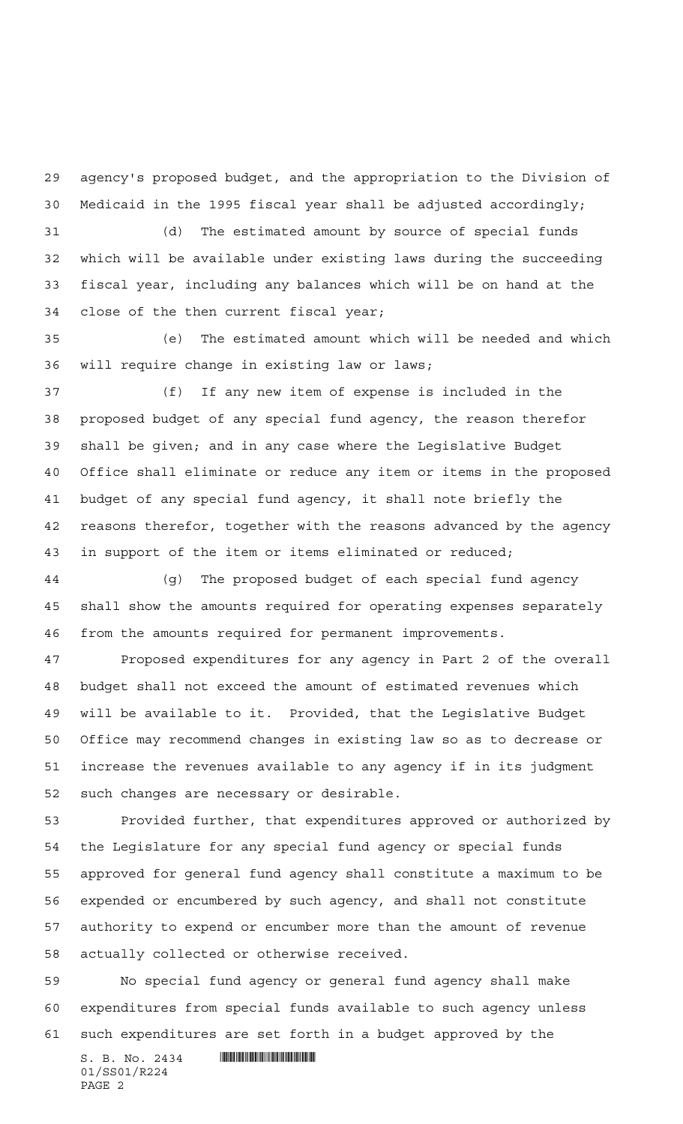agency's proposed budget, and the appropriation to the Division of Medicaid in the 1995 fiscal year shall be adjusted accordingly;

 (d) The estimated amount by source of special funds which will be available under existing laws during the succeeding fiscal year, including any balances which will be on hand at the close of the then current fiscal year;

 (e) The estimated amount which will be needed and which will require change in existing law or laws;

 (f) If any new item of expense is included in the proposed budget of any special fund agency, the reason therefor shall be given; and in any case where the Legislative Budget Office shall eliminate or reduce any item or items in the proposed budget of any special fund agency, it shall note briefly the reasons therefor, together with the reasons advanced by the agency in support of the item or items eliminated or reduced;

 (g) The proposed budget of each special fund agency shall show the amounts required for operating expenses separately from the amounts required for permanent improvements.

 Proposed expenditures for any agency in Part 2 of the overall budget shall not exceed the amount of estimated revenues which will be available to it. Provided, that the Legislative Budget Office may recommend changes in existing law so as to decrease or increase the revenues available to any agency if in its judgment such changes are necessary or desirable.

 Provided further, that expenditures approved or authorized by the Legislature for any special fund agency or special funds approved for general fund agency shall constitute a maximum to be expended or encumbered by such agency, and shall not constitute authority to expend or encumber more than the amount of revenue actually collected or otherwise received.

 No special fund agency or general fund agency shall make expenditures from special funds available to such agency unless such expenditures are set forth in a budget approved by the

 $S. B. No. 2434$  **Will Allen Allied Allied Allied Allied Allied Allied Allied Allied Allied Allied Allied Allied Allied Allied Allied Allied Allied Allied Allied Allied Allied Allied Allied Allied Allied Allied Allied Allied** 01/SS01/R224 PAGE 2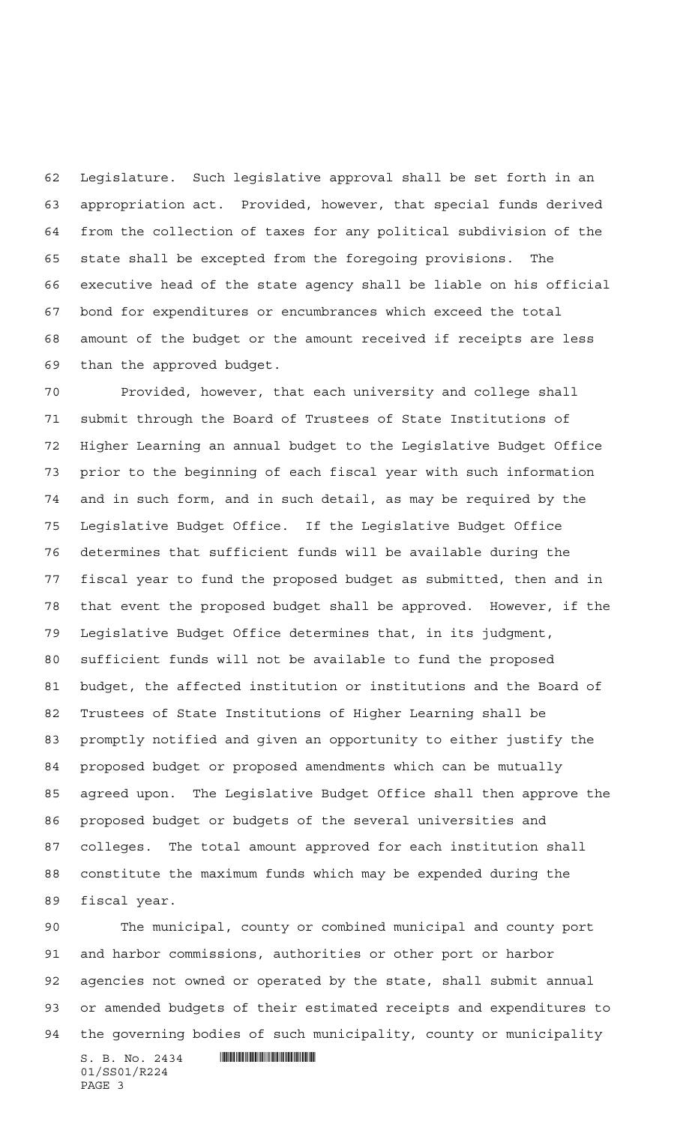Legislature. Such legislative approval shall be set forth in an appropriation act. Provided, however, that special funds derived from the collection of taxes for any political subdivision of the state shall be excepted from the foregoing provisions. The executive head of the state agency shall be liable on his official bond for expenditures or encumbrances which exceed the total amount of the budget or the amount received if receipts are less than the approved budget.

 Provided, however, that each university and college shall submit through the Board of Trustees of State Institutions of Higher Learning an annual budget to the Legislative Budget Office prior to the beginning of each fiscal year with such information and in such form, and in such detail, as may be required by the Legislative Budget Office. If the Legislative Budget Office determines that sufficient funds will be available during the fiscal year to fund the proposed budget as submitted, then and in that event the proposed budget shall be approved. However, if the Legislative Budget Office determines that, in its judgment, sufficient funds will not be available to fund the proposed budget, the affected institution or institutions and the Board of Trustees of State Institutions of Higher Learning shall be promptly notified and given an opportunity to either justify the proposed budget or proposed amendments which can be mutually agreed upon. The Legislative Budget Office shall then approve the proposed budget or budgets of the several universities and colleges. The total amount approved for each institution shall constitute the maximum funds which may be expended during the fiscal year.

 The municipal, county or combined municipal and county port and harbor commissions, authorities or other port or harbor agencies not owned or operated by the state, shall submit annual or amended budgets of their estimated receipts and expenditures to the governing bodies of such municipality, county or municipality

 $S. B. No. 2434$  **Will Allen Allied Allied Allied Allied Allied Allied Allied Allied Allied Allied Allied Allied Allied Allied Allied Allied Allied Allied Allied Allied Allied Allied Allied Allied Allied Allied Allied Allied** 01/SS01/R224 PAGE 3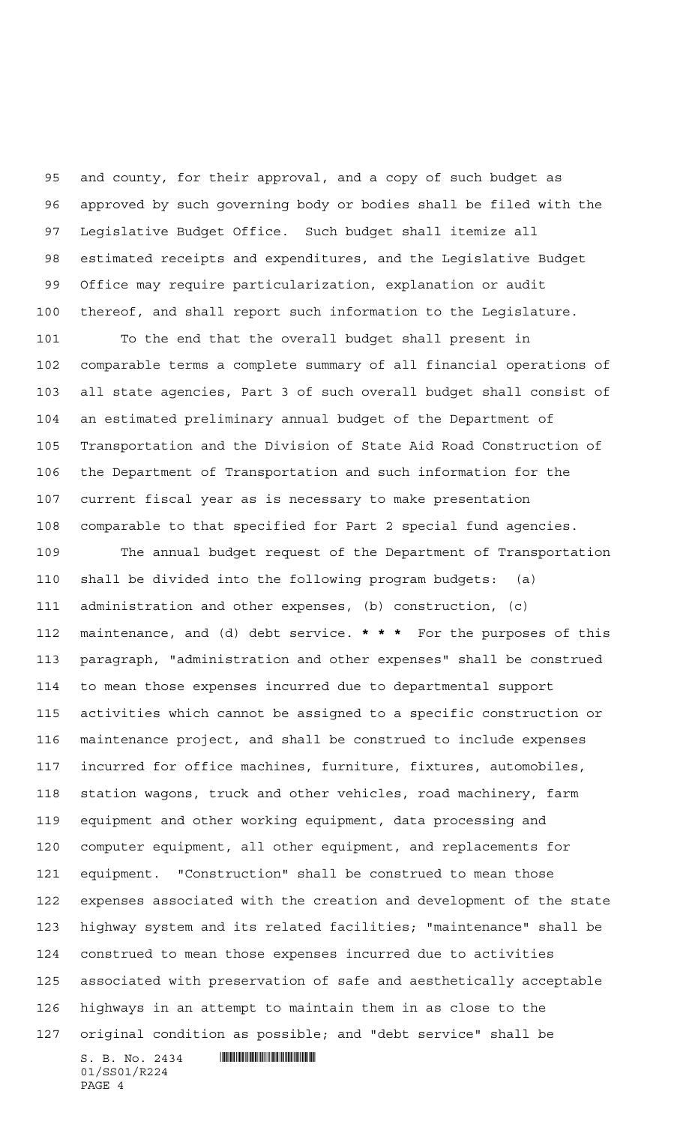and county, for their approval, and a copy of such budget as approved by such governing body or bodies shall be filed with the Legislative Budget Office. Such budget shall itemize all estimated receipts and expenditures, and the Legislative Budget Office may require particularization, explanation or audit thereof, and shall report such information to the Legislature.

 To the end that the overall budget shall present in comparable terms a complete summary of all financial operations of all state agencies, Part 3 of such overall budget shall consist of an estimated preliminary annual budget of the Department of Transportation and the Division of State Aid Road Construction of the Department of Transportation and such information for the current fiscal year as is necessary to make presentation comparable to that specified for Part 2 special fund agencies.

 $S. B. No. 2434$  **Will Allen Allied Allied Allied Allied Allied Allied Allied Allied Allied Allied Allied Allied Allied Allied Allied Allied Allied Allied Allied Allied Allied Allied Allied Allied Allied Allied Allied Allied**  The annual budget request of the Department of Transportation shall be divided into the following program budgets: (a) administration and other expenses, (b) construction, (c) maintenance, and (d) debt service. **\*\*\*** For the purposes of this paragraph, "administration and other expenses" shall be construed to mean those expenses incurred due to departmental support activities which cannot be assigned to a specific construction or maintenance project, and shall be construed to include expenses incurred for office machines, furniture, fixtures, automobiles, station wagons, truck and other vehicles, road machinery, farm equipment and other working equipment, data processing and computer equipment, all other equipment, and replacements for equipment. "Construction" shall be construed to mean those expenses associated with the creation and development of the state highway system and its related facilities; "maintenance" shall be construed to mean those expenses incurred due to activities associated with preservation of safe and aesthetically acceptable highways in an attempt to maintain them in as close to the original condition as possible; and "debt service" shall be

01/SS01/R224 PAGE 4